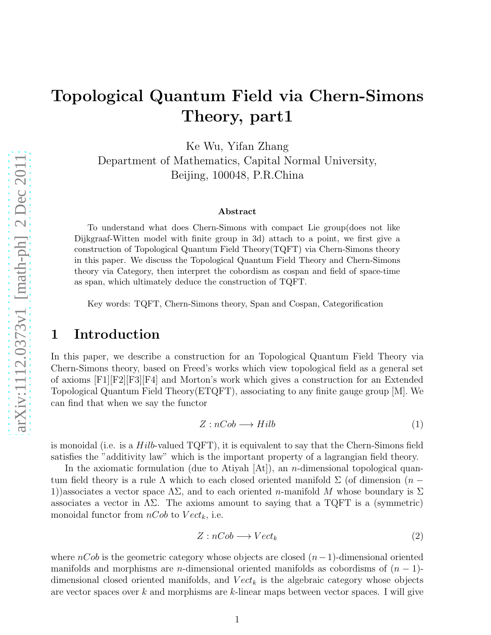# Topological Quantum Field via Chern-Simons Theory, part1

Ke Wu, Yifan Zhang Department of Mathematics, Capital Normal University, Beijing, 100048, P.R.China

#### Abstract

To understand what does Chern-Simons with compact Lie group(does not like Dijkgraaf-Witten model with finite group in 3d) attach to a point, we first give a construction of Topological Quantum Field Theory(TQFT) via Chern-Simons theory in this paper. We discuss the Topological Quantum Field Theory and Chern-Simons theory via Category, then interpret the cobordism as cospan and field of space-time as span, which ultimately deduce the construction of TQFT.

Key words: TQFT, Chern-Simons theory, Span and Cospan, Categorification

### 1 Introduction

In this paper, we describe a construction for an Topological Quantum Field Theory via Chern-Simons theory, based on Freed's works which view topological field as a general set of axioms [F1][F2][F3][F4] and Morton's work which gives a construction for an Extended Topological Quantum Field Theory(ETQFT), associating to any finite gauge group [M]. We can find that when we say the functor

$$
Z: nCob \longrightarrow Hilb \tag{1}
$$

is monoidal (i.e. is a  $Hilb$ -valued  $TQFT$ ), it is equivalent to say that the Chern-Simons field satisfies the "additivity law" which is the important property of a lagrangian field theory.

In the axiomatic formulation (due to Atiyah  $[At]$ ), an *n*-dimensional topological quantum field theory is a rule  $\Lambda$  which to each closed oriented manifold  $\Sigma$  (of dimension  $(n -$ 1))associates a vector space  $\Lambda\Sigma$ , and to each oriented n-manifold M whose boundary is  $\Sigma$ associates a vector in  $\Lambda\Sigma$ . The axioms amount to saying that a TQFT is a (symmetric) monoidal functor from  $nCob$  to  $Vect_k$ , i.e.

$$
Z: nCob \longrightarrow Vect_k
$$
 (2)

where  $nCob$  is the geometric category whose objects are closed  $(n-1)$ -dimensional oriented manifolds and morphisms are n-dimensional oriented manifolds as cobordisms of  $(n - 1)$ dimensional closed oriented manifolds, and  $Vect_k$  is the algebraic category whose objects are vector spaces over k and morphisms are k-linear maps between vector spaces. I will give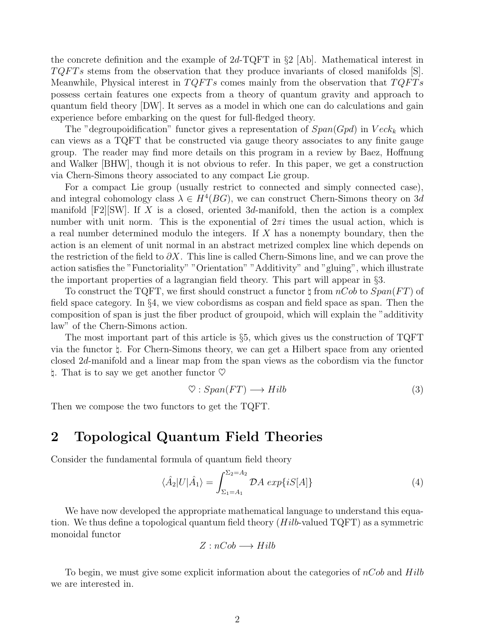the concrete definition and the example of  $2d$ -TQFT in §2 [Ab]. Mathematical interest in  $TQFTs$  stems from the observation that they produce invariants of closed manifolds [S]. Meanwhile, Physical interest in  $TQFTs$  comes mainly from the observation that  $TQFTs$ possess certain features one expects from a theory of quantum gravity and approach to quantum field theory [DW]. It serves as a model in which one can do calculations and gain experience before embarking on the quest for full-fledged theory.

The "degroupoidification" functor gives a representation of  $Span(Gpd)$  in  $Veck_k$  which can views as a TQFT that be constructed via gauge theory associates to any finite gauge group. The reader may find more details on this program in a review by Baez, Hoffnung and Walker [BHW], though it is not obvious to refer. In this paper, we get a construction via Chern-Simons theory associated to any compact Lie group.

For a compact Lie group (usually restrict to connected and simply connected case), and integral cohomology class  $\lambda \in H^4(BG)$ , we can construct Chern-Simons theory on 3d manifold  $[F2][SW]$ . If X is a closed, oriented 3d-manifold, then the action is a complex number with unit norm. This is the exponential of  $2\pi i$  times the usual action, which is a real number determined modulo the integers. If X has a nonempty boundary, then the action is an element of unit normal in an abstract metrized complex line which depends on the restriction of the field to  $\partial X$ . This line is called Chern-Simons line, and we can prove the action satisfies the "Functoriality" "Orientation" "Additivity" and "gluing", which illustrate the important properties of a lagrangian field theory. This part will appear in §3.

To construct the TQFT, we first should construct a functor  $\sharp$  from  $nCob$  to  $Span(FT)$  of field space category. In §4, we view cobordisms as cospan and field space as span. Then the composition of span is just the fiber product of groupoid, which will explain the "additivity law" of the Chern-Simons action.

The most important part of this article is §5, which gives us the construction of TQFT via the functor ♮. For Chern-Simons theory, we can get a Hilbert space from any oriented closed 2d-manifold and a linear map from the span views as the cobordism via the functor **1.** That is to say we get another functor  $\heartsuit$ 

$$
\heartsuit:Span(FT) \longrightarrow Hilb \tag{3}
$$

Then we compose the two functors to get the TQFT.

### 2 Topological Quantum Field Theories

Consider the fundamental formula of quantum field theory

$$
\langle \hat{A}_2 | U | \hat{A}_1 \rangle = \int_{\Sigma_1 = A_1}^{\Sigma_2 = A_2} \mathcal{D}A \exp\{iS[A]\} \tag{4}
$$

We have now developed the appropriate mathematical language to understand this equation. We thus define a topological quantum field theory  $(Hilb$ -valued TQFT) as a symmetric monoidal functor

$$
Z: nCob \longrightarrow Hilb
$$

To begin, we must give some explicit information about the categories of  $nCob$  and  $Hilb$ we are interested in.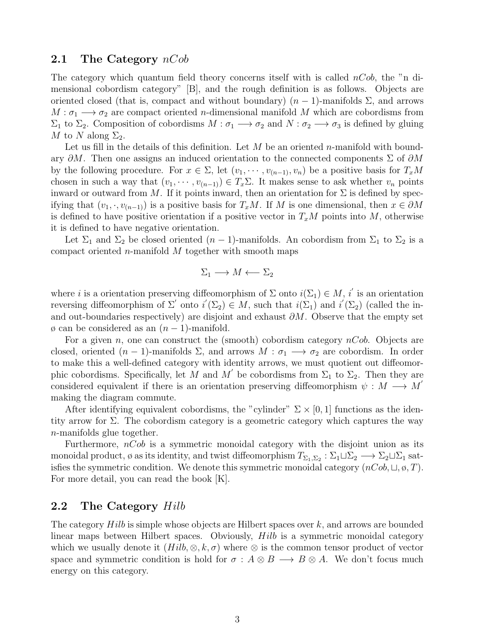#### 2.1 The Category  $nCob$

The category which quantum field theory concerns itself with is called  $nCob$ , the "n dimensional cobordism category" [B], and the rough definition is as follows. Objects are oriented closed (that is, compact and without boundary)  $(n-1)$ -manifolds  $\Sigma$ , and arrows  $M : \sigma_1 \longrightarrow \sigma_2$  are compact oriented *n*-dimensional manifold M which are cobordisms from  $\Sigma_1$  to  $\Sigma_2$ . Composition of cobordisms  $M : \sigma_1 \longrightarrow \sigma_2$  and  $N : \sigma_2 \longrightarrow \sigma_3$  is defined by gluing M to N along  $\Sigma_2$ .

Let us fill in the details of this definition. Let  $M$  be an oriented n-manifold with boundary  $\partial M$ . Then one assigns an induced orientation to the connected components  $\Sigma$  of  $\partial M$ by the following procedure. For  $x \in \Sigma$ , let  $(v_1, \dots, v_{(n-1)}, v_n)$  be a positive basis for  $T_xM$ chosen in such a way that  $(v_1, \dots, v_{(n-1)}) \in T_x \Sigma$ . It makes sense to ask whether  $v_n$  points inward or outward from M. If it points inward, then an orientation for  $\Sigma$  is defined by specifying that  $(v_1, \cdot, v_{(n-1)})$  is a positive basis for  $T_xM$ . If M is one dimensional, then  $x \in \partial M$ is defined to have positive orientation if a positive vector in  $T_xM$  points into M, otherwise it is defined to have negative orientation.

Let  $\Sigma_1$  and  $\Sigma_2$  be closed oriented  $(n-1)$ -manifolds. An cobordism from  $\Sigma_1$  to  $\Sigma_2$  is a compact oriented *n*-manifold  $M$  together with smooth maps

$$
\Sigma_1 \longrightarrow M \longleftarrow \Sigma_2
$$

where *i* is a orientation preserving diffeomorphism of  $\Sigma$  onto  $i(\Sigma_1) \in M$ , i' is an orientation reversing diffeomorphism of  $\Sigma'$  onto  $i'(\Sigma_2) \in M$ , such that  $i(\Sigma_1)$  and  $i'(\Sigma_2)$  (called the inand out-boundaries respectively) are disjoint and exhaust  $\partial M$ . Observe that the empty set  $\varphi$  can be considered as an  $(n-1)$ -manifold.

For a given n, one can construct the (smooth) cobordism category  $nCob$ . Objects are closed, oriented  $(n-1)$ -manifolds  $\Sigma$ , and arrows  $M : \sigma_1 \longrightarrow \sigma_2$  are cobordism. In order to make this a well-defined category with identity arrows, we must quotient out diffeomorphic cobordisms. Specifically, let M and M' be cobordisms from  $\Sigma_1$  to  $\Sigma_2$ . Then they are considered equivalent if there is an orientation preserving diffeomorphism  $\psi : M \longrightarrow M'$ making the diagram commute.

After identifying equivalent cobordisms, the "cylinder"  $\Sigma \times [0, 1]$  functions as the identity arrow for  $\Sigma$ . The cobordism category is a geometric category which captures the way n-manifolds glue together.

Furthermore,  $nCob$  is a symmetric monoidal category with the disjoint union as its monoidal product, ø as its identity, and twist diffeomorphism  $T_{\Sigma_1,\Sigma_2}$  :  $\Sigma_1 \sqcup \Sigma_2 \longrightarrow \Sigma_2 \sqcup \Sigma_1$  satisfies the symmetric condition. We denote this symmetric monoidal category  $(nCob, \sqcup, \emptyset, T)$ . For more detail, you can read the book [K].

#### 2.2 The Category Hilb

The category  $Hilb$  is simple whose objects are Hilbert spaces over  $k$ , and arrows are bounded linear maps between Hilbert spaces. Obviously, Hilb is a symmetric monoidal category which we usually denote it  $(Hilb, \otimes, k, \sigma)$  where  $\otimes$  is the common tensor product of vector space and symmetric condition is hold for  $\sigma : A \otimes B \longrightarrow B \otimes A$ . We don't focus much energy on this category.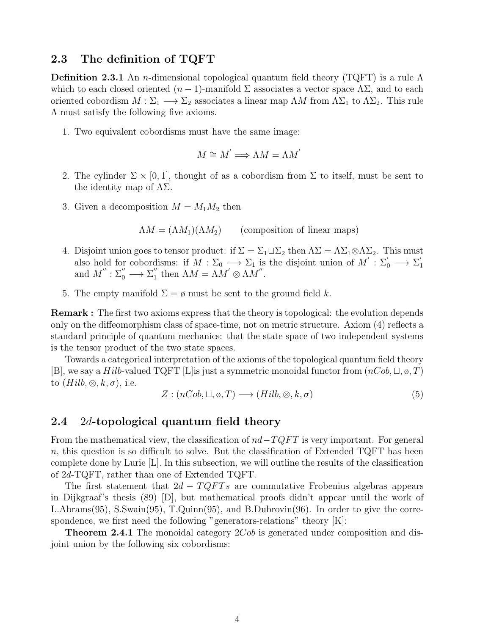#### 2.3 The definition of TQFT

**Definition 2.3.1** An n-dimensional topological quantum field theory (TQFT) is a rule  $\Lambda$ which to each closed oriented  $(n-1)$ -manifold  $\Sigma$  associates a vector space  $\Lambda \Sigma$ , and to each oriented cobordism  $M : \Sigma_1 \longrightarrow \Sigma_2$  associates a linear map  $\Lambda M$  from  $\Lambda \Sigma_1$  to  $\Lambda \Sigma_2$ . This rule Λ must satisfy the following five axioms.

1. Two equivalent cobordisms must have the same image:

$$
M \cong M' \Longrightarrow \Lambda M = \Lambda M'
$$

- 2. The cylinder  $\Sigma \times [0, 1]$ , thought of as a cobordism from  $\Sigma$  to itself, must be sent to the identity map of  $\Lambda\Sigma$ .
- 3. Given a decomposition  $M = M_1 M_2$  then

$$
\Lambda M = (\Lambda M_1)(\Lambda M_2) \qquad \text{(composition of linear maps)}
$$

- 4. Disjoint union goes to tensor product: if  $\Sigma = \Sigma_1 \sqcup \Sigma_2$  then  $\Lambda \Sigma = \Lambda \Sigma_1 \otimes \Lambda \Sigma_2$ . This must also hold for cobordisms: if  $M : \Sigma_0 \longrightarrow \Sigma_1$  is the disjoint union of  $M' : \Sigma'_0 \longrightarrow \Sigma'_1$ 1 and  $M^{''}: \Sigma_0^{''} \longrightarrow \Sigma_1^{''}$ " then  $\Lambda M = \Lambda M' \otimes \Lambda M''$ .
- 5. The empty manifold  $\Sigma = \emptyset$  must be sent to the ground field k.

Remark : The first two axioms express that the theory is topological: the evolution depends only on the diffeomorphism class of space-time, not on metric structure. Axiom (4) reflects a standard principle of quantum mechanics: that the state space of two independent systems is the tensor product of the two state spaces.

Towards a categorical interpretation of the axioms of the topological quantum field theory [B], we say a Hilb-valued TQFT [L]is just a symmetric monoidal functor from  $(nCob, \sqcup, \emptyset, T)$ to  $(Hilb, \otimes, k, \sigma)$ , i.e.

$$
Z: (nCob, \sqcup, \emptyset, T) \longrightarrow (Hilb, \otimes, k, \sigma) \tag{5}
$$

#### 2.4 2d-topological quantum field theory

From the mathematical view, the classification of  $nd-TQFT$  is very important. For general n, this question is so difficult to solve. But the classification of Extended TQFT has been complete done by Lurie [L]. In this subsection, we will outline the results of the classification of 2d-TQFT, rather than one of Extended TQFT.

The first statement that  $2d - TQFTs$  are commutative Frobenius algebras appears in Dijkgraaf's thesis (89) [D], but mathematical proofs didn't appear until the work of L.Abrams(95), S.Swain(95), T.Quinn(95), and B.Dubrovin(96). In order to give the correspondence, we first need the following "generators-relations" theory [K]:

**Theorem 2.4.1** The monoidal category 2Cob is generated under composition and disjoint union by the following six cobordisms: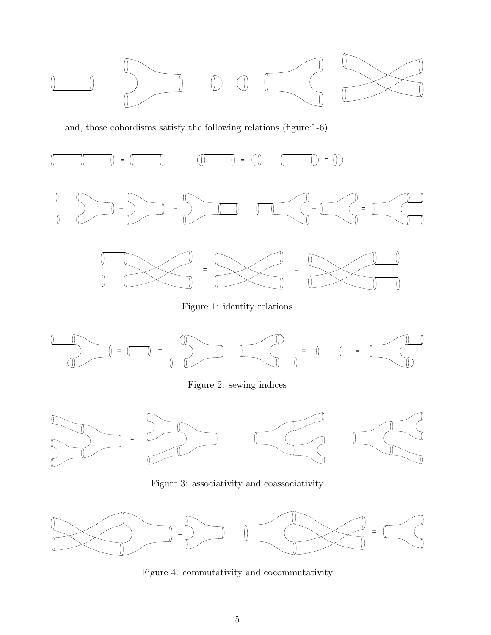

and, those cobordisms satisfy the following relations (figure:1-6).



Figure 1: identity relations



Figure 2: sewing indices



Figure 3: associativity and coassociativity



Figure 4: commutativity and cocommutativity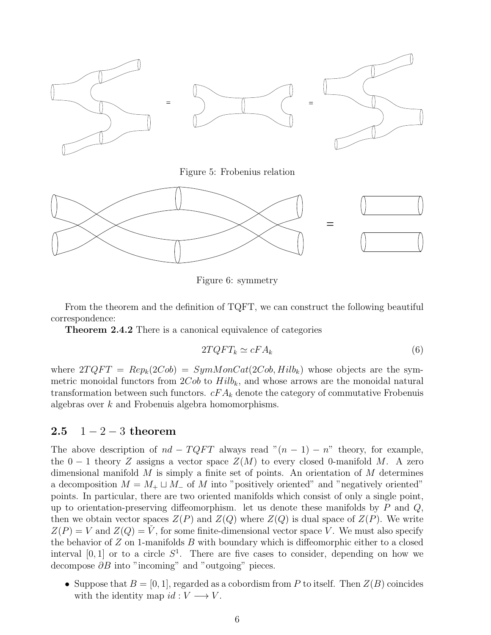

Figure 5: Frobenius relation



Figure 6: symmetry

From the theorem and the definition of TQFT, we can construct the following beautiful correspondence:

Theorem 2.4.2 There is a canonical equivalence of categories

$$
2TQFT_k \simeq cFA_k \tag{6}
$$

where  $2TQFT = Rep_k(2Cob) = SymMonCat(2Cob, Hilb_k)$  whose objects are the symmetric monoidal functors from  $2Cob$  to  $Hilb_k$ , and whose arrows are the monoidal natural transformation between such functors.  $cFA_k$  denote the category of commutative Frobenuis algebras over k and Frobenuis algebra homomorphisms.

### 2.5  $1 - 2 - 3$  theorem

The above description of  $nd - TQFT$  always read " $(n - 1) - n$ " theory, for example, the  $0-1$  theory Z assigns a vector space  $Z(M)$  to every closed 0-manifold M. A zero dimensional manifold  $M$  is simply a finite set of points. An orientation of  $M$  determines a decomposition  $M = M_+ \sqcup M_-$  of M into "positively oriented" and "negatively oriented" points. In particular, there are two oriented manifolds which consist of only a single point, up to orientation-preserving diffeomorphism. let us denote these manifolds by  $P$  and  $Q$ , then we obtain vector spaces  $Z(P)$  and  $Z(Q)$  where  $Z(Q)$  is dual space of  $Z(P)$ . We write  $Z(P) = V$  and  $Z(Q) = V$ , for some finite-dimensional vector space V. We must also specify the behavior of  $Z$  on 1-manifolds  $B$  with boundary which is diffeomorphic either to a closed interval  $[0, 1]$  or to a circle  $S^1$ . There are five cases to consider, depending on how we decompose  $\partial B$  into "incoming" and "outgoing" pieces.

• Suppose that  $B = [0, 1]$ , regarded as a cobordism from P to itself. Then  $Z(B)$  coincides with the identity map  $id: V \longrightarrow V$ .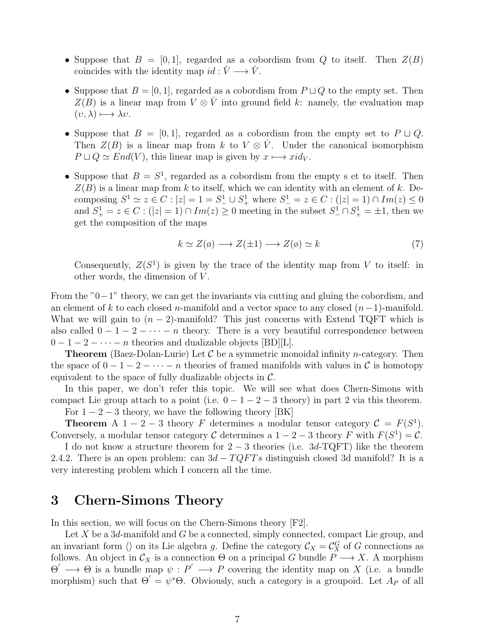- Suppose that  $B = [0, 1]$ , regarded as a cobordism from Q to itself. Then  $Z(B)$ coincides with the identity map  $id : \check{V} \longrightarrow \check{V}$ .
- Suppose that  $B = [0, 1]$ , regarded as a cobordism from  $P \sqcup Q$  to the empty set. Then  $Z(B)$  is a linear map from  $V \otimes V$  into ground field k: namely, the evaluation map  $(v, \lambda) \longmapsto \lambda v.$
- Suppose that  $B = [0, 1]$ , regarded as a cobordism from the empty set to  $P \sqcup Q$ . Then  $Z(B)$  is a linear map from k to  $V \otimes V$ . Under the canonical isomorphism  $P \sqcup Q \simeq End(V)$ , this linear map is given by  $x \longmapsto xid_V$ .
- Suppose that  $B = S^1$ , regarded as a cobordism from the empty s et to itself. Then  $Z(B)$  is a linear map from k to itself, which we can identity with an element of k. Decomposing  $S^1 \simeq z \in C$ :  $|z| = 1 = S^1 \cup S^1$ , where  $S^1 = z \in C$ :  $(|z| = 1) \cap Im(z) \le 0$ and  $S^1_+ = z \in C : (|z| = 1) \cap Im(z) \ge 0$  meeting in the subset  $S^1_- \cap S^1_+ = \pm 1$ , then we get the composition of the maps

$$
k \simeq Z(\phi) \longrightarrow Z(\pm 1) \longrightarrow Z(\phi) \simeq k \tag{7}
$$

Consequently,  $Z(S^1)$  is given by the trace of the identity map from V to itself: in other words, the dimension of  $V$ .

From the "0−1" theory, we can get the invariants via cutting and gluing the cobordism, and an element of k to each closed n-manifold and a vector space to any closed  $(n-1)$ -manifold. What we will gain to  $(n-2)$ -manifold? This just concerns with Extend TQFT which is also called  $0 - 1 - 2 - \cdots - n$  theory. There is a very beautiful correspondence between  $0-1-2-\cdots-n$  theories and dualizable objects [BD][L].

**Theorem** (Baez-Dolan-Lurie) Let  $\mathcal C$  be a symmetric monoidal infinity *n*-category. Then the space of  $0-1-2-\cdots-n$  theories of framed manifolds with values in C is homotopy equivalent to the space of fully dualizable objects in  $\mathcal{C}$ .

In this paper, we don't refer this topic. We will see what does Chern-Simons with compact Lie group attach to a point (i.e.  $0 - 1 - 2 - 3$  theory) in part 2 via this theorem.

For  $1 - 2 - 3$  theory, we have the following theory [BK]

**Theorem** A 1 – 2 – 3 theory F determines a modular tensor category  $C = F(S^1)$ . Conversely, a modular tensor category C determines a  $1-2-3$  theory F with  $F(S^1) = C$ .

I do not know a structure theorem for  $2-3$  theories (i.e.  $3d$ -TQFT) like the theorem 2.4.2. There is an open problem: can  $3d - TQFTs$  distinguish closed 3d manifold? It is a very interesting problem which I concern all the time.

### 3 Chern-Simons Theory

In this section, we will focus on the Chern-Simons theory [F2].

Let X be a  $3d$ -manifold and G be a connected, simply connected, compact Lie group, and an invariant form  $\langle \rangle$  on its Lie algebra g. Define the category  $\mathcal{C}_X = \mathcal{C}_X^G$  of G connections as follows. An object in  $\mathcal{C}_X$  is a connection  $\Theta$  on a principal G bundle  $P \longrightarrow X$ . A morphism  $\Theta' \longrightarrow \Theta$  is a bundle map  $\psi : P' \longrightarrow P$  covering the identity map on X (i.e. a bundle morphism) such that  $\Theta' = \psi^* \Theta$ . Obviously, such a category is a groupoid. Let  $A_P$  of all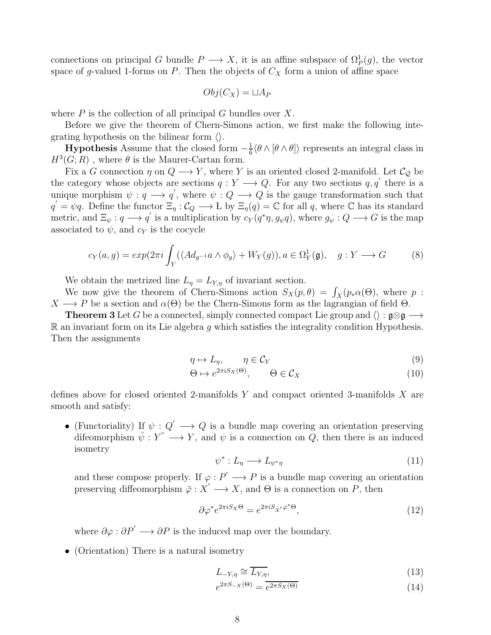connections on principal G bundle  $P \longrightarrow X$ , it is an affine subspace of  $\Omega_P^1(g)$ , the vector space of g-valued 1-forms on P. Then the objects of  $C<sub>X</sub>$  form a union of affine space

$$
Obj(C_X) = \sqcup A_P
$$

where  $P$  is the collection of all principal  $G$  bundles over  $X$ .

Before we give the theorem of Chern-Simons action, we first make the following integrating hypothesis on the bilinear form  $\langle \rangle$ .

**Hypothesis** Assume that the closed form  $-\frac{1}{6}$  $\frac{1}{6} \langle \theta \wedge [\theta \wedge \theta] \rangle$  represents an integral class in  $H^3(G;R)$ , where  $\theta$  is the Maurer-Cartan form.

Fix a G connection  $\eta$  on  $Q \longrightarrow Y$ , where Y is an oriented closed 2-manifold. Let  $\mathcal{C}_Q$  be the category whose objects are sections  $q: Y \longrightarrow Q$ . For any two sections  $q, q'$  there is a unique morphism  $\psi: q \longrightarrow q'$ , where  $\psi: Q \longrightarrow Q$  is the gauge transformation such that  $q' = \psi q$ . Define the functor  $\Xi_{\eta}: \mathcal{C}_{Q} \longrightarrow L$  by  $\Xi_{\eta}(q) = \mathbb{C}$  for all q, where  $\mathbb{C}$  has its standard metric, and  $\Xi_{\psi}: q \longrightarrow q'$  is a multiplication by  $c_Y(q^*\eta, g_{\psi}q)$ , where  $g_{\psi}: Q \longrightarrow G$  is the map associated to  $\psi$ , and  $c_Y$  is the cocycle

$$
c_Y(a,g) = exp(2\pi i \int_Y (\langle Ad_{g^{-1}}a \wedge \phi_g \rangle + W_Y(g)), a \in \Omega_Y^1(\mathfrak{g}), \quad g: Y \longrightarrow G
$$
 (8)

We obtain the metrized line  $L_{\eta} = L_{Y,\eta}$  of invariant section.

We now give the theorem of Chern-Simons action  $S_X(p, \theta) = \int_X (p_* \alpha(\Theta))$ , where p:  $X \longrightarrow P$  be a section and  $\alpha(\Theta)$  be the Chern-Simons form as the lagrangian of field  $\Theta$ .

**Theorem 3** Let G be a connected, simply connected compact Lie group and  $\langle \rangle : \mathfrak{g} \otimes \mathfrak{g} \longrightarrow$  $\mathbb R$  an invariant form on its Lie algebra q which satisfies the integrality condition Hypothesis. Then the assignments

$$
\eta \mapsto L_{\eta}, \qquad \eta \in \mathcal{C}_Y \tag{9}
$$

$$
\Theta \mapsto e^{2\pi i S_X(\Theta)}, \qquad \Theta \in \mathcal{C}_X \tag{10}
$$

defines above for closed oriented 2-manifolds  $Y$  and compact oriented 3-manifolds  $X$  are smooth and satisfy:

• (Functoriality) If  $\psi: Q' \longrightarrow Q$  is a bundle map covering an orientation preserving difeomorphism  $\bar{\psi}: Y^* \longrightarrow Y$ , and  $\psi$  is a connection on  $\tilde{Q}$ , then there is an induced isometry

$$
\psi^* : L_\eta \longrightarrow L_{\psi^*\eta} \tag{11}
$$

and these compose properly. If  $\varphi : P' \longrightarrow P$  is a bundle map covering an orientation preserving diffeomorphism  $\varphi : X' \longrightarrow X$ , and  $\Theta$  is a connection on P, then

$$
\partial \varphi^* e^{2\pi i S_X \Theta} = e^{2\pi i S_{X'} \varphi^* \Theta},\tag{12}
$$

where  $\partial \varphi : \partial P' \longrightarrow \partial P$  is the induced map over the boundary.

• (Orientation) There is a natural isometry

$$
L_{-Y,\eta} \cong \overline{L_{Y,\eta}},\tag{13}
$$

$$
e^{2\pi S_{-X}(\Theta)} = \overline{e^{2\pi S_X(\Theta)}}\tag{14}
$$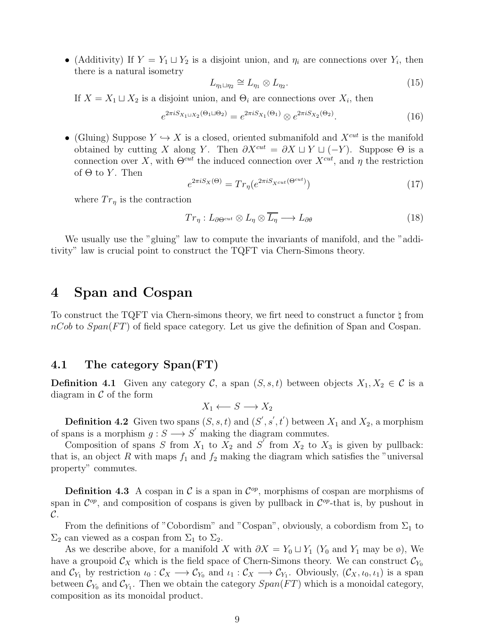• (Additivity) If  $Y = Y_1 \sqcup Y_2$  is a disjoint union, and  $\eta_i$  are connections over  $Y_i$ , then there is a natural isometry

$$
L_{\eta_1 \sqcup \eta_2} \cong L_{\eta_1} \otimes L_{\eta_2}.\tag{15}
$$

If  $X = X_1 \sqcup X_2$  is a disjoint union, and  $\Theta_i$  are connections over  $X_i$ , then

$$
e^{2\pi i S_{X_1 \sqcup X_2}(\Theta_1 \sqcup \Theta_2)} = e^{2\pi i S_{X_1}(\Theta_1)} \otimes e^{2\pi i S_{X_2}(\Theta_2)}.
$$
\n(16)

• (Gluing) Suppose  $Y \hookrightarrow X$  is a closed, oriented submanifold and  $X^{cut}$  is the manifold obtained by cutting X along Y. Then  $\partial X^{cut} = \partial X \sqcup Y \sqcup (-Y)$ . Suppose  $\Theta$  is a connection over X, with  $\Theta^{cut}$  the induced connection over  $X^{cut}$ , and  $\eta$  the restriction of  $\Theta$  to Y. Then

$$
e^{2\pi i S_X(\Theta)} = Tr_\eta(e^{2\pi i S_{X^{cut}}(\Theta^{cut})})
$$
\n(17)

where  $Tr_{\eta}$  is the contraction

$$
Tr_{\eta}: L_{\partial\Theta^{cut}} \otimes L_{\eta} \otimes \overline{L_{\eta}} \longrightarrow L_{\partial\theta} \tag{18}
$$

We usually use the "gluing" law to compute the invariants of manifold, and the "additivity" law is crucial point to construct the TQFT via Chern-Simons theory.

### 4 Span and Cospan

To construct the TQFT via Chern-simons theory, we firt need to construct a functor ♮ from  $nCob$  to  $Span(FT)$  of field space category. Let us give the definition of Span and Cospan.

#### 4.1 The category Span(FT)

**Definition 4.1** Given any category C, a span  $(S, s, t)$  between objects  $X_1, X_2 \in \mathcal{C}$  is a diagram in  $\mathcal C$  of the form

$$
X_1 \longleftarrow S \longrightarrow X_2
$$

**Definition 4.2** Given two spans  $(S, s, t)$  and  $(S', s', t')$  between  $X_1$  and  $X_2$ , a morphism of spans is a morphism  $g : S \longrightarrow S'$  making the diagram commutes.

Composition of spans S from  $X_1$  to  $X_2$  and  $S'$  from  $X_2$  to  $X_3$  is given by pullback: that is, an object R with maps  $f_1$  and  $f_2$  making the diagram which satisfies the "universal property" commutes.

**Definition 4.3** A cospan in  $\mathcal{C}$  is a span in  $\mathcal{C}^{op}$ , morphisms of cospan are morphisms of span in  $\mathcal{C}^{op}$ , and composition of cospans is given by pullback in  $\mathcal{C}^{op}$ -that is, by pushout in  $\mathcal{C}.$ 

From the definitions of "Cobordism" and "Cospan", obviously, a cobordism from  $\Sigma_1$  to  $\Sigma_2$  can viewed as a cospan from  $\Sigma_1$  to  $\Sigma_2$ .

As we describe above, for a manifold X with  $\partial X = Y_0 \sqcup Y_1$  (Y<sub>0</sub> and Y<sub>1</sub> may be ø), We have a groupoid  $\mathcal{C}_X$  which is the field space of Chern-Simons theory. We can construct  $\mathcal{C}_{Y_0}$ and  $\mathcal{C}_{Y_1}$  by restriction  $\iota_0: \mathcal{C}_X \longrightarrow \mathcal{C}_{Y_0}$  and  $\iota_1: \mathcal{C}_X \longrightarrow \mathcal{C}_{Y_1}$ . Obviously,  $(\mathcal{C}_X, \iota_0, \iota_1)$  is a span between  $\mathcal{C}_{Y_0}$  and  $\mathcal{C}_{Y_1}$ . Then we obtain the category  $Span(FT)$  which is a monoidal category, composition as its monoidal product.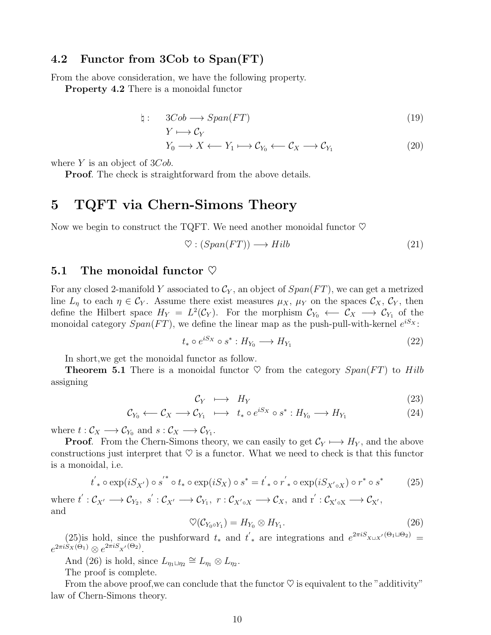#### 4.2 Functor from 3Cob to Span(FT)

From the above consideration, we have the following property.

Property 4.2 There is a monoidal functor

$$
\natural: \quad 3Cob \longrightarrow Span(FT) \tag{19}
$$

$$
Y \longmapsto \mathcal{C}_Y
$$
  
\n
$$
Y_0 \longrightarrow X \longleftarrow Y_1 \longmapsto \mathcal{C}_{Y_0} \longleftarrow \mathcal{C}_X \longrightarrow \mathcal{C}_{Y_1}
$$
 (20)

where  $Y$  is an object of  $3Cob$ .

**Proof.** The check is straightforward from the above details.

### 5 TQFT via Chern-Simons Theory

Now we begin to construct the TQFT. We need another monoidal functor  $\heartsuit$ 

$$
\heartsuit : (Span(FT)) \longrightarrow Hilb \tag{21}
$$

#### 5.1 The monoidal functor  $\heartsuit$

For any closed 2-manifold Y associated to  $\mathcal{C}_Y$ , an object of  $Span(FT)$ , we can get a metrized line  $L_n$  to each  $\eta \in \mathcal{C}_Y$ . Assume there exist measures  $\mu_X$ ,  $\mu_Y$  on the spaces  $\mathcal{C}_X$ ,  $\mathcal{C}_Y$ , then define the Hilbert space  $H_Y = L^2(\mathcal{C}_Y)$ . For the morphism  $\mathcal{C}_{Y_0} \leftarrow \mathcal{C}_X \rightarrow \mathcal{C}_{Y_1}$  of the monoidal category  $Span(FT)$ , we define the linear map as the push-pull-with-kernel  $e^{iS_X}$ :

$$
t_* \circ e^{iS_X} \circ s^* : H_{Y_0} \longrightarrow H_{Y_1} \tag{22}
$$

In short,we get the monoidal functor as follow.

**Theorem 5.1** There is a monoidal functor  $\heartsuit$  from the category  $Span(FT)$  to Hilb assigning

$$
\mathcal{C}_Y \longrightarrow H_Y \tag{23}
$$

$$
C_{Y_0} \longleftrightarrow C_X \longrightarrow C_{Y_1} \longrightarrow t_* \circ e^{iS_X} \circ s^* : H_{Y_0} \longrightarrow H_{Y_1}
$$
 (24)

where  $t: \mathcal{C}_X \longrightarrow \mathcal{C}_{Y_0}$  and  $s: \mathcal{C}_X \longrightarrow \mathcal{C}_{Y_1}$ .

**Proof.** From the Chern-Simons theory, we can easily to get  $\mathcal{C}_Y \longmapsto H_Y$ , and the above constructions just interpret that  $\heartsuit$  is a functor. What we need to check is that this functor is a monoidal, i.e.

$$
t'_{*} \circ \exp(iS_{X'}) \circ s^{'*} \circ t_{*} \circ \exp(iS_{X}) \circ s^{*} = t'_{*} \circ r'_{*} \circ \exp(iS_{X' \circ X}) \circ r^{*} \circ s^{*}
$$
 (25)

where  $t':\mathcal{C}_{X'} \longrightarrow \mathcal{C}_{Y_2}, s':\mathcal{C}_{X'} \longrightarrow \mathcal{C}_{Y_1}, r:\mathcal{C}_{X' \circ X} \longrightarrow \mathcal{C}_{X}, \text{ and } r':\mathcal{C}_{X' \circ X} \longrightarrow \mathcal{C}_{X'},$ and

$$
\heartsuit(\mathcal{C}_{Y_0 \circ Y_1}) = H_{Y_0} \otimes H_{Y_1}.\tag{26}
$$

(25)is hold, since the pushforward  $t_*$  and  $t'_*$  are integrations and  $e^{2\pi i S_{X\cup X'}(\Theta_1\cup\Theta_2)}$  $e^{2\pi i S_X(\Theta_1)} \otimes e^{2\pi i S_{X'}(\Theta_2)}.$ 

And (26) is hold, since  $L_{\eta_1 \sqcup \eta_2} \cong L_{\eta_1} \otimes L_{\eta_2}$ .

The proof is complete.

From the above proof, we can conclude that the functor  $\heartsuit$  is equivalent to the "additivity" law of Chern-Simons theory.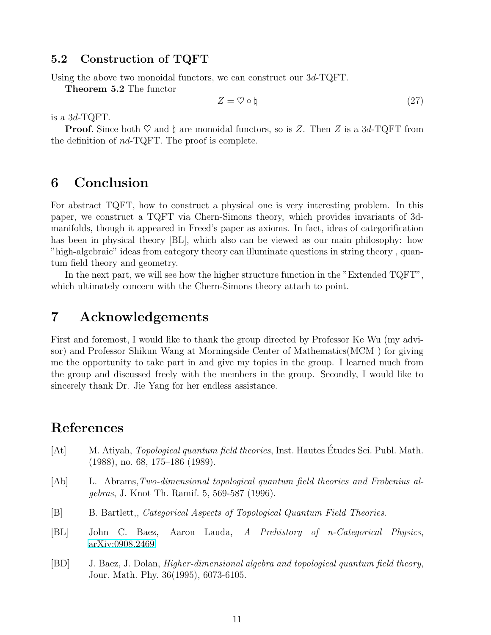#### 5.2 Construction of TQFT

Using the above two monoidal functors, we can construct our 3d-TQFT.

Theorem 5.2 The functor

$$
Z = \heartsuit \circ \natural \tag{27}
$$

is a 3d-TQFT.

**Proof.** Since both  $\heartsuit$  and  $\natural$  are monoidal functors, so is Z. Then Z is a 3d-TQFT from the definition of nd-TQFT. The proof is complete.

## 6 Conclusion

For abstract TQFT, how to construct a physical one is very interesting problem. In this paper, we construct a TQFT via Chern-Simons theory, which provides invariants of 3dmanifolds, though it appeared in Freed's paper as axioms. In fact, ideas of categorification has been in physical theory [BL], which also can be viewed as our main philosophy: how "high-algebraic" ideas from category theory can illuminate questions in string theory , quantum field theory and geometry.

In the next part, we will see how the higher structure function in the "Extended TQFT", which ultimately concern with the Chern-Simons theory attach to point.

### 7 Acknowledgements

First and foremost, I would like to thank the group directed by Professor Ke Wu (my advisor) and Professor Shikun Wang at Morningside Center of Mathematics(MCM ) for giving me the opportunity to take part in and give my topics in the group. I learned much from the group and discussed freely with the members in the group. Secondly, I would like to sincerely thank Dr. Jie Yang for her endless assistance.

### References

- [At] M. Atiyah, *Topological quantum field theories*, Inst. Hautes Études Sci. Publ. Math. (1988), no. 68, 175–186 (1989).
- [Ab] L. Abrams,Two-dimensional topological quantum field theories and Frobenius algebras, J. Knot Th. Ramif. 5, 569-587 (1996).
- [B] B. Bartlett,, Categorical Aspects of Topological Quantum Field Theories.
- [BL] John C. Baez, Aaron Lauda, A Prehistory of n-Categorical Physics, [arXiv:0908.2469](http://arxiv.org/abs/0908.2469)
- [BD] J. Baez, J. Dolan, Higher-dimensional algebra and topological quantum field theory, Jour. Math. Phy. 36(1995), 6073-6105.